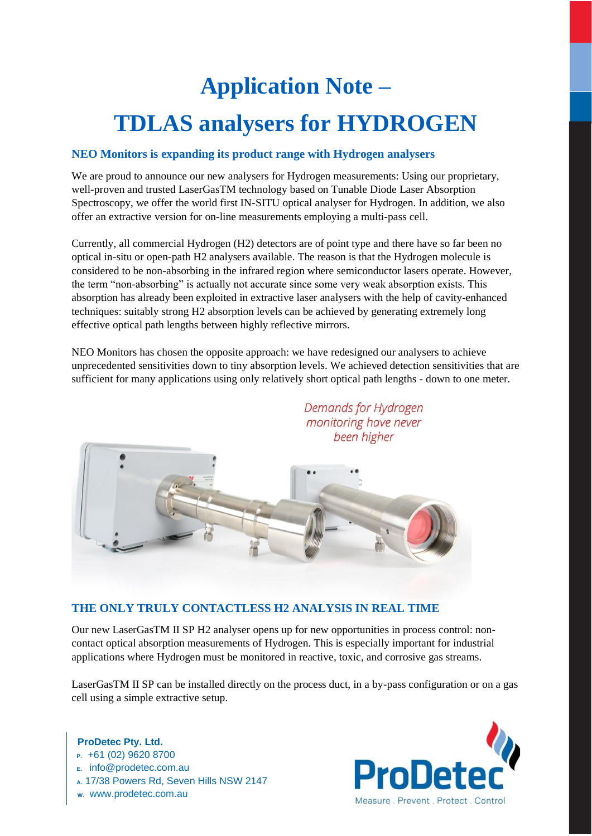# **Application Note – TDLAS analysers for HYDROGEN**

## **NEO Monitors is expanding its product range with Hydrogen analysers**

We are proud to announce our new analysers for Hydrogen measurements: Using our proprietary, well-proven and trusted LaserGasTM technology based on Tunable Diode Laser Absorption Spectroscopy, we offer the world first IN-SITU optical analyser for Hydrogen. In addition, we also offer an extractive version for on-line measurements employing a multi-pass cell.

Currently, all commercial Hydrogen (H2) detectors are of point type and there have so far been no optical in-situ or open-path H2 analysers available. The reason is that the Hydrogen molecule is considered to be non-absorbing in the infrared region where semiconductor lasers operate. However, the term "non-absorbing" is actually not accurate since some very weak absorption exists. This absorption has already been exploited in extractive laser analysers with the help of cavity-enhanced techniques: suitably strong H2 absorption levels can be achieved by generating extremely long effective optical path lengths between highly reflective mirrors.

NEO Monitors has chosen the opposite approach: we have redesigned our analysers to achieve unprecedented sensitivities down to tiny absorption levels. We achieved detection sensitivities that are sufficient for many applications using only relatively short optical path lengths - down to one meter.



**THE ONLY TRULY CONTACTLESS H2 ANALYSIS IN REAL TIME** 

Our new LaserGasTM II SP H2 analyser opens up for new opportunities in process control: noncontact optical absorption measurements of Hydrogen. This is especially important for industrial applications where Hydrogen must be monitored in reactive, toxic, and corrosive gas streams.

LaserGasTM II SP can be installed directly on the process duct, in a by-pass configuration or on a gas cell using a simple extractive setup.

### **ProDetec Pty. Ltd.**

- **P.** +61 (02) 9620 8700
- **E.** info@prodetec.com.au
- **A.** 17/38 Powers Rd, Seven Hills NSW 2147
- **W.** www.prodetec.com.au



Demands for Hydrogen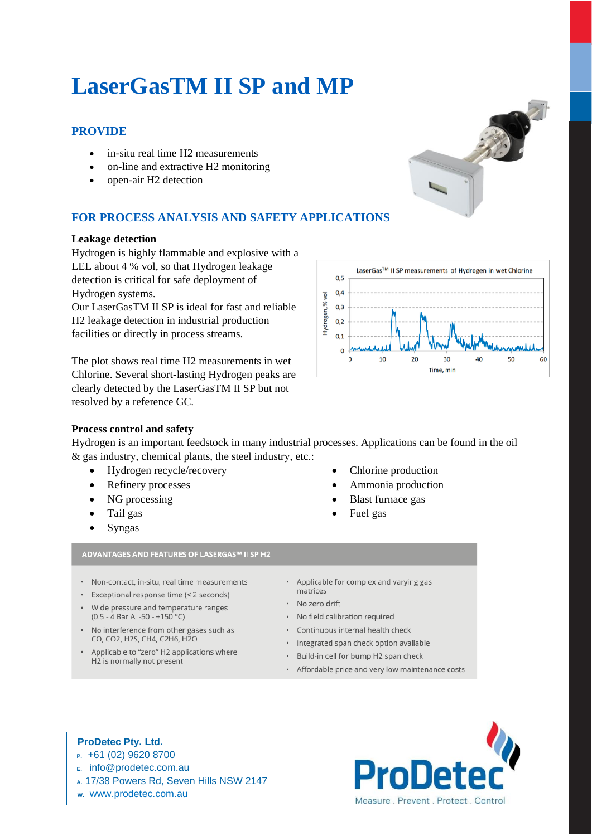# **LaserGasTM II SP and MP**

## **PROVIDE**

- in-situ real time H2 measurements
- on-line and extractive H2 monitoring
- open-air H2 detection

# **FOR PROCESS ANALYSIS AND SAFETY APPLICATIONS**

## **Leakage detection**

Hydrogen is highly flammable and explosive with a LEL about 4 % vol, so that Hydrogen leakage detection is critical for safe deployment of Hydrogen systems. Our LaserGasTM II SP is ideal for fast and reliable H2 leakage detection in industrial production

facilities or directly in process streams.

The plot shows real time H2 measurements in wet Chlorine. Several short-lasting Hydrogen peaks are clearly detected by the LaserGasTM II SP but not resolved by a reference GC.



## **Process control and safety**

Hydrogen is an important feedstock in many industrial processes. Applications can be found in the oil & gas industry, chemical plants, the steel industry, etc.:

- Hydrogen recycle/recovery
- Refinery processes
- NG processing
- Tail gas
- Syngas
- Chlorine production
- Ammonia production
- Blast furnace gas
- Fuel gas

## ADVANTAGES AND FEATURES OF LASERGAS™ II SP H2

- · Non-contact, in-situ, real time measurements
- · Exceptional response time (< 2 seconds)
- Wide pressure and temperature ranges  $(0.5 - 4$  Bar A, -50 - +150 °C)
- No interference from other gases such as CO, CO2, H2S, CH4, C2H6, H2O
- Applicable to "zero" H2 applications where H<sub>2</sub> is normally not present
- Applicable for complex and varying gas matrices
- · No zero drift
- · No field calibration required
- Continuous internal health check
- Integrated span check option available  $\ddot{\phantom{0}}$
- Build-in cell for bump H2 span check
- Affordable price and very low maintenance costs

## **ProDetec Pty. Ltd.**

- **P.** +61 (02) 9620 8700
- **E.** info@prodetec.com.au
- **A.** 17/38 Powers Rd, Seven Hills NSW 2147
- **W.** www.prodetec.com.au